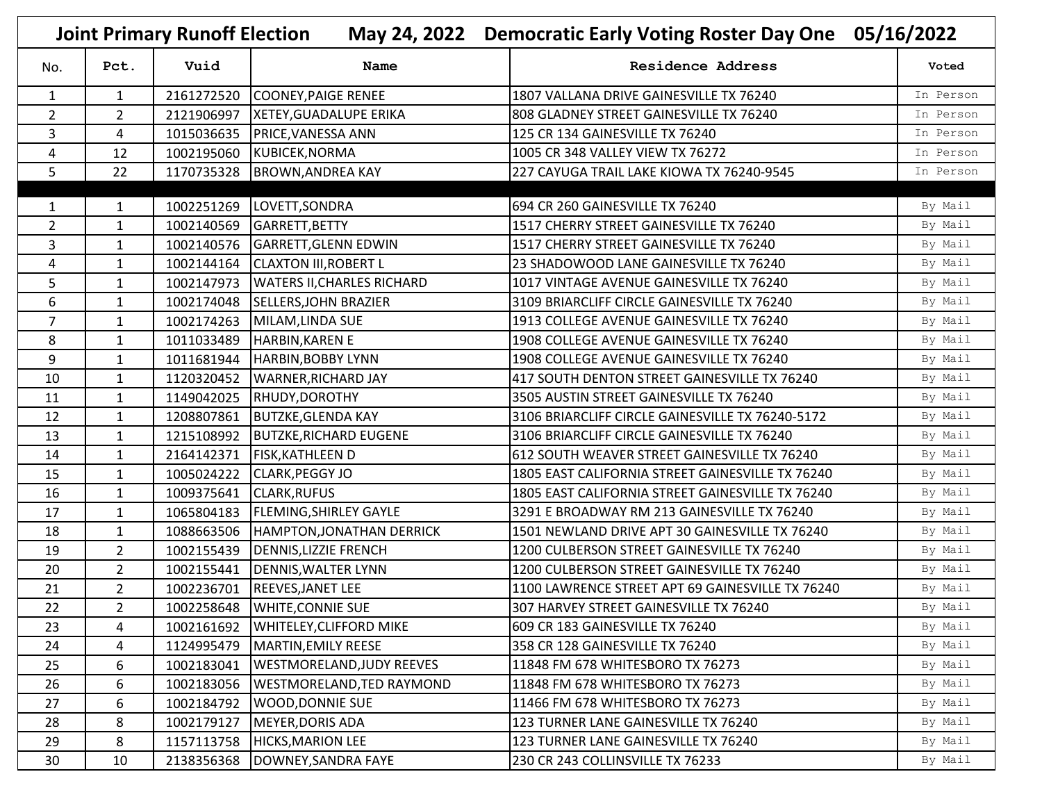| May 24, 2022 Democratic Early Voting Roster Day One 05/16/2022<br><b>Joint Primary Runoff Election</b> |                |            |                                        |                                                  |           |  |  |  |
|--------------------------------------------------------------------------------------------------------|----------------|------------|----------------------------------------|--------------------------------------------------|-----------|--|--|--|
| No.                                                                                                    | Pct.           | Vuid       | Name                                   | <b>Residence Address</b>                         | Voted     |  |  |  |
| $\mathbf{1}$                                                                                           | $\mathbf{1}$   | 2161272520 | COONEY, PAIGE RENEE                    | 1807 VALLANA DRIVE GAINESVILLE TX 76240          | In Person |  |  |  |
| $\overline{2}$                                                                                         | $\overline{2}$ | 2121906997 | XETEY, GUADALUPE ERIKA                 | 808 GLADNEY STREET GAINESVILLE TX 76240          | In Person |  |  |  |
| 3                                                                                                      | 4              | 1015036635 | <b>PRICE, VANESSA ANN</b>              | 125 CR 134 GAINESVILLE TX 76240                  | In Person |  |  |  |
| 4                                                                                                      | 12             | 1002195060 | KUBICEK, NORMA                         | 1005 CR 348 VALLEY VIEW TX 76272                 | In Person |  |  |  |
| 5                                                                                                      | 22             | 1170735328 | <b>BROWN, ANDREA KAY</b>               | 227 CAYUGA TRAIL LAKE KIOWA TX 76240-9545        | In Person |  |  |  |
| 1                                                                                                      | 1              | 1002251269 | LOVETT, SONDRA                         | 694 CR 260 GAINESVILLE TX 76240                  | By Mail   |  |  |  |
| $\overline{2}$                                                                                         | $\mathbf{1}$   | 1002140569 | GARRETT, BETTY                         | 1517 CHERRY STREET GAINESVILLE TX 76240          | By Mail   |  |  |  |
| 3                                                                                                      | $\mathbf{1}$   | 1002140576 | <b>GARRETT, GLENN EDWIN</b>            | 1517 CHERRY STREET GAINESVILLE TX 76240          | By Mail   |  |  |  |
| 4                                                                                                      | 1              | 1002144164 | <b>CLAXTON III, ROBERT L</b>           | 23 SHADOWOOD LANE GAINESVILLE TX 76240           | By Mail   |  |  |  |
| 5                                                                                                      | $\mathbf{1}$   | 1002147973 | <b>WATERS II, CHARLES RICHARD</b>      | 1017 VINTAGE AVENUE GAINESVILLE TX 76240         | By Mail   |  |  |  |
| 6                                                                                                      | $\mathbf{1}$   | 1002174048 | <b>SELLERS, JOHN BRAZIER</b>           | 3109 BRIARCLIFF CIRCLE GAINESVILLE TX 76240      | By Mail   |  |  |  |
| $\overline{7}$                                                                                         | $\mathbf{1}$   | 1002174263 | MILAM, LINDA SUE                       | 1913 COLLEGE AVENUE GAINESVILLE TX 76240         | By Mail   |  |  |  |
| 8                                                                                                      | $\mathbf{1}$   | 1011033489 | HARBIN, KAREN E                        | 1908 COLLEGE AVENUE GAINESVILLE TX 76240         | By Mail   |  |  |  |
| 9                                                                                                      | $\mathbf{1}$   | 1011681944 | HARBIN, BOBBY LYNN                     | 1908 COLLEGE AVENUE GAINESVILLE TX 76240         | By Mail   |  |  |  |
| 10                                                                                                     | 1              | 1120320452 | <b>WARNER, RICHARD JAY</b>             | 417 SOUTH DENTON STREET GAINESVILLE TX 76240     | By Mail   |  |  |  |
| 11                                                                                                     | $\mathbf{1}$   | 1149042025 | <b>RHUDY, DOROTHY</b>                  | 3505 AUSTIN STREET GAINESVILLE TX 76240          | By Mail   |  |  |  |
| 12                                                                                                     | $\mathbf{1}$   | 1208807861 | <b>BUTZKE, GLENDA KAY</b>              | 3106 BRIARCLIFF CIRCLE GAINESVILLE TX 76240-5172 | By Mail   |  |  |  |
| 13                                                                                                     | $\mathbf{1}$   | 1215108992 | <b>BUTZKE, RICHARD EUGENE</b>          | 3106 BRIARCLIFF CIRCLE GAINESVILLE TX 76240      | By Mail   |  |  |  |
| 14                                                                                                     | $\mathbf{1}$   | 2164142371 | <b>FISK, KATHLEEN D</b>                | 612 SOUTH WEAVER STREET GAINESVILLE TX 76240     | By Mail   |  |  |  |
| 15                                                                                                     | $\mathbf{1}$   | 1005024222 | <b>CLARK, PEGGY JO</b>                 | 1805 EAST CALIFORNIA STREET GAINESVILLE TX 76240 | By Mail   |  |  |  |
| 16                                                                                                     | $\mathbf{1}$   | 1009375641 | <b>CLARK, RUFUS</b>                    | 1805 EAST CALIFORNIA STREET GAINESVILLE TX 76240 | By Mail   |  |  |  |
| 17                                                                                                     | $\mathbf{1}$   | 1065804183 | <b>FLEMING, SHIRLEY GAYLE</b>          | 3291 E BROADWAY RM 213 GAINESVILLE TX 76240      | By Mail   |  |  |  |
| 18                                                                                                     | $\mathbf{1}$   | 1088663506 | <b>HAMPTON, JONATHAN DERRICK</b>       | 1501 NEWLAND DRIVE APT 30 GAINESVILLE TX 76240   | By Mail   |  |  |  |
| 19                                                                                                     | $2^{\circ}$    | 1002155439 | <b>DENNIS, LIZZIE FRENCH</b>           | 1200 CULBERSON STREET GAINESVILLE TX 76240       | By Mail   |  |  |  |
| 20                                                                                                     | $2^{\circ}$    | 1002155441 | <b>DENNIS, WALTER LYNN</b>             | 1200 CULBERSON STREET GAINESVILLE TX 76240       | By Mail   |  |  |  |
| 21                                                                                                     | $\overline{2}$ |            | 1002236701 REEVES, JANET LEE           | 1100 LAWRENCE STREET APT 69 GAINESVILLE TX 76240 | By Mail   |  |  |  |
| 22                                                                                                     | $\overline{a}$ |            | 1002258648 WHITE, CONNIE SUE           | 307 HARVEY STREET GAINESVILLE TX 76240           | By Mail   |  |  |  |
| 23                                                                                                     | 4              | 1002161692 | <b>WHITELEY, CLIFFORD MIKE</b>         | 609 CR 183 GAINESVILLE TX 76240                  | By Mail   |  |  |  |
| 24                                                                                                     | 4              | 1124995479 | MARTIN, EMILY REESE                    | 358 CR 128 GAINESVILLE TX 76240                  | By Mail   |  |  |  |
| 25                                                                                                     | 6              | 1002183041 | <b>WESTMORELAND, JUDY REEVES</b>       | 11848 FM 678 WHITESBORO TX 76273                 | By Mail   |  |  |  |
| 26                                                                                                     | 6              |            | 1002183056   WESTMORELAND, TED RAYMOND | 11848 FM 678 WHITESBORO TX 76273                 | By Mail   |  |  |  |
| 27                                                                                                     | 6              |            | 1002184792   WOOD, DONNIE SUE          | 11466 FM 678 WHITESBORO TX 76273                 | By Mail   |  |  |  |
| 28                                                                                                     | 8              | 1002179127 | MEYER, DORIS ADA                       | 123 TURNER LANE GAINESVILLE TX 76240             | By Mail   |  |  |  |
| 29                                                                                                     | 8              | 1157113758 | <b>HICKS, MARION LEE</b>               | 123 TURNER LANE GAINESVILLE TX 76240             | By Mail   |  |  |  |
| 30                                                                                                     | 10             |            | 2138356368  DOWNEY, SANDRA FAYE        | 230 CR 243 COLLINSVILLE TX 76233                 | By Mail   |  |  |  |